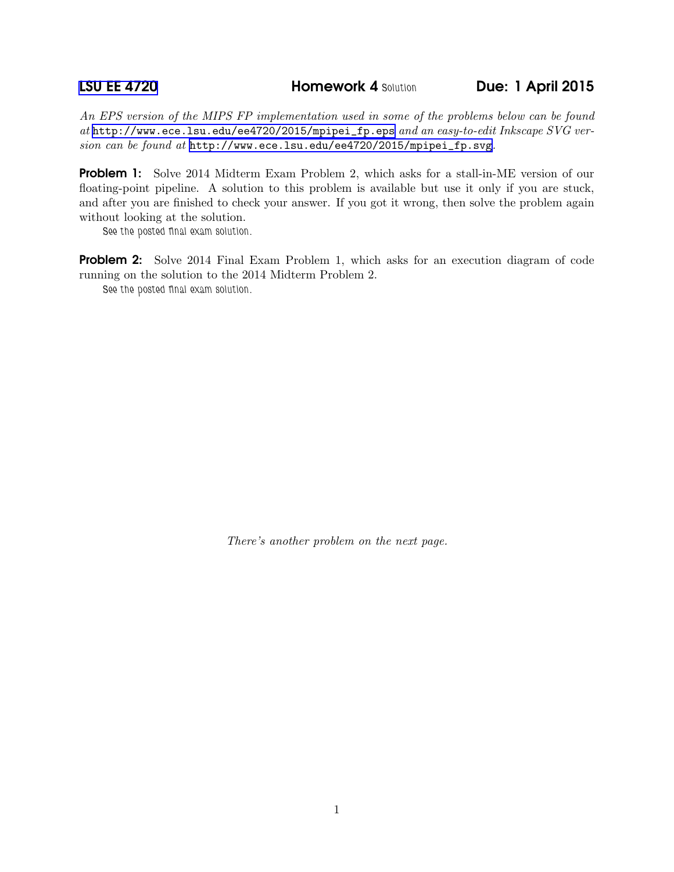[LSU EE 4720](http://www.ece.lsu.edu/ee4720/) **Homework 4 Solution** Due: 1 April 2015

*An EPS version of the MIPS FP implementation used in some of the problems below can be found at* [http://www.ece.lsu.edu/ee4720/2015/mpipei\\_fp.eps](http://www.ece.lsu.edu/ee4720/2015/mpipei_fp.eps) *and an easy-to-edit Inkscape SVG version can be found at* [http://www.ece.lsu.edu/ee4720/2015/mpipei\\_fp.svg](http://www.ece.lsu.edu/ee4720/2015/mpipei_fp.svg)*.*

**Problem 1:** Solve 2014 Midterm Exam Problem 2, which asks for a stall-in-ME version of our floating-point pipeline. A solution to this problem is available but use it only if you are stuck, and after you are finished to check your answer. If you got it wrong, then solve the problem again without looking at the solution.

See the posted final exam solution.

Problem 2: Solve 2014 Final Exam Problem 1, which asks for an execution diagram of code running on the solution to the 2014 Midterm Problem 2.

See the posted final exam solution.

*There's another problem on the next page.*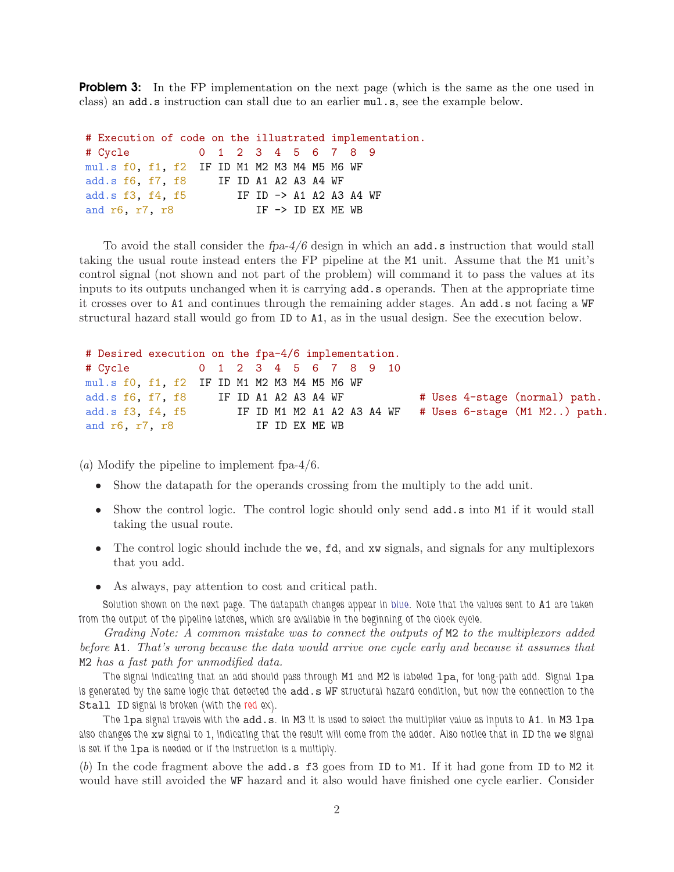**Problem 3:** In the FP implementation on the next page (which is the same as the one used in class) an add.s instruction can stall due to an earlier mul.s, see the example below.

# Execution of code on the illustrated implementation. # Cycle 0 1 2 3 4 5 6 7 8 9 mul.s f0, f1, f2 IF ID M1 M2 M3 M4 M5 M6 WF add.s f6, f7, f8 IF ID A1 A2 A3 A4 WF add.s f3, f4, f5 IF ID -> A1 A2 A3 A4 WF and  $r6$ ,  $r7$ ,  $r8$  IF  $\rightarrow$  ID EX ME WB

To avoid the stall consider the  $fpa-4/6$  design in which an  $add.s$  instruction that would stall taking the usual route instead enters the FP pipeline at the M1 unit. Assume that the M1 unit's control signal (not shown and not part of the problem) will command it to pass the values at its inputs to its outputs unchanged when it is carrying add.s operands. Then at the appropriate time it crosses over to A1 and continues through the remaining adder stages. An add.s not facing a WF structural hazard stall would go from ID to A1, as in the usual design. See the execution below.

```
# Desired execution on the fpa-4/6 implementation.
# Cycle 0 1 2 3 4 5 6 7 8 9 10
mul.s f0, f1, f2 IF ID M1 M2 M3 M4 M5 M6 WF
add.s f6, f7, f8 IF ID A1 A2 A3 A4 WF \qquad # Uses 4-stage (normal) path.
add.s f3, f4, f5 IF ID M1 M2 A1 A2 A3 A4 WF # Uses 6-stage (M1 M2..) path.
and r6, r7, r8 IF ID EX ME WB
```
(*a*) Modify the pipeline to implement fpa-4/6.

- Show the datapath for the operands crossing from the multiply to the add unit.
- Show the control logic. The control logic should only send add.s into M1 if it would stall taking the usual route.
- The control logic should include the we, fd, and xw signals, and signals for any multiplexors that you add.
- As always, pay attention to cost and critical path.

Solution shown on the next page. The datapath changes appear in blue. Note that the values sent to A1 are taken from the output of the pipeline latches, which are available in the beginning of the clock cycle.

*Grading Note: A common mistake was to connect the outputs of* M2 *to the multiplexors added before* A1*. That's wrong because the data would arrive one cycle early and because it assumes that* M2 *has a fast path for unmodified data.*

The signal indicating that an add should pass through M1 and M2 is labeled lpa, for long-path add. Signal lpa is generated by the same logic that detected the add.s WF structural hazard condition, but now the connection to the Stall ID signal is broken (with the red ex).

The lpa signal travels with the add.s. In M3 it is used to select the multiplier value as inputs to A1. In M3 lpa also changes the xw signal to 1, indicating that the result will come from the adder. Also notice that in ID the we signal is set if the lpa is needed or if the instruction is a multiply.

(*b*) In the code fragment above the add.s f3 goes from ID to M1. If it had gone from ID to M2 it would have still avoided the WF hazard and it also would have finished one cycle earlier. Consider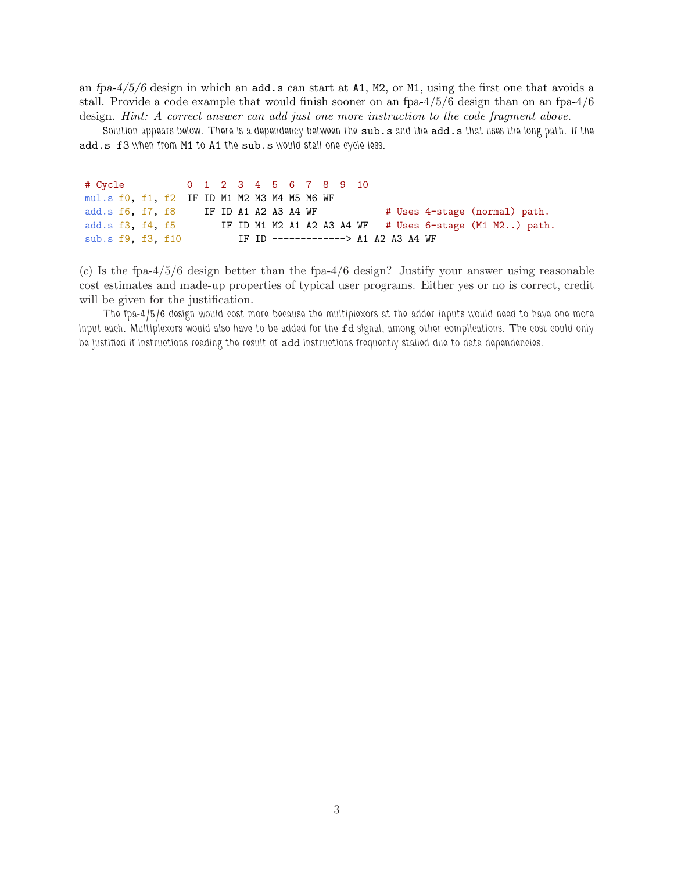an fpa-4/5/6 design in which an add.s can start at A1, M2, or M1, using the first one that avoids a stall. Provide a code example that would finish sooner on an fpa-4/5/6 design than on an fpa-4/6 design. *Hint: A correct answer can add just one more instruction to the code fragment above.*

Solution appears below. There is a dependency between the sub.s and the add.s that uses the long path. If the add.s f3 when from M1 to A1 the sub.s would stall one cycle less.

| # Cycle 0 1 2 3 4 5 6 7 8 9 10              |  |  |  |  |  |  |  |  |  |                                     |                                                         |  |
|---------------------------------------------|--|--|--|--|--|--|--|--|--|-------------------------------------|---------------------------------------------------------|--|
| mul.s f0, f1, f2 IF ID M1 M2 M3 M4 M5 M6 WF |  |  |  |  |  |  |  |  |  |                                     |                                                         |  |
| add.s f6, f7, f8 IF ID A1 A2 A3 A4 WF       |  |  |  |  |  |  |  |  |  |                                     | # Uses 4-stage (normal) path.                           |  |
| add.s f3, f4, f5                            |  |  |  |  |  |  |  |  |  |                                     | IF ID M1 M2 A1 A2 A3 A4 WF # Uses 6-stage (M1 M2) path. |  |
| sub.s f9, f3, f10                           |  |  |  |  |  |  |  |  |  | IF ID -------------> A1 A2 A3 A4 WF |                                                         |  |

(*c*) Is the fpa-4/5/6 design better than the fpa-4/6 design? Justify your answer using reasonable cost estimates and made-up properties of typical user programs. Either yes or no is correct, credit will be given for the justification.

The fpa-4/5/6 design would cost more because the multiplexors at the adder inputs would need to have one more input each. Multiplexors would also have to be added for the fd signal, among other complications. The cost could only be justified if instructions reading the result of add instructions frequently stalled due to data dependencies.